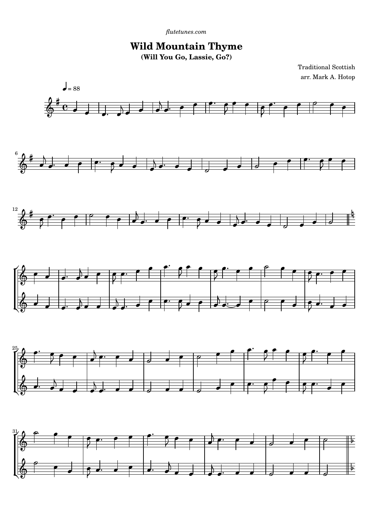## **Wild Mountain Thyme (Will You Go, Lassie, Go?)**

Traditional Scottish arr. Mark A. Hotop



-

 $\overline{\bullet}$ 

 $\overline{\phantom{a}}$ 

 $\overline{1}$ 

 $\overline{\bullet}$ 

-

 $\overline{\phantom{a}}$ 

 $\overline{e}$ 

 $\overline{\phantom{a}}$ 

 $\mathbf{r}$ 

 $\overline{\bullet}$ 

 $\overline{\phantom{a}}$ 

 $\overline{a}$ 

 $\overline{\phantom{0}}$ 

 $\overline{\phantom{0}}$ 

 $\frac{1}{2}$ 

 $\overline{a}$ 

 $\overline{\phantom{0}}$ 

ŕ

25

 $\frac{25}{1}$ 

Ľ

 $\frac{31}{15}$ 

 $\pmb{\phi}$ 

p

Ľ

 $\overline{\mathbf{S}}$ 

 $\overline{\phantom{a}}$  $\overline{a}$ 

-

 $\overline{\bullet}$ 

e